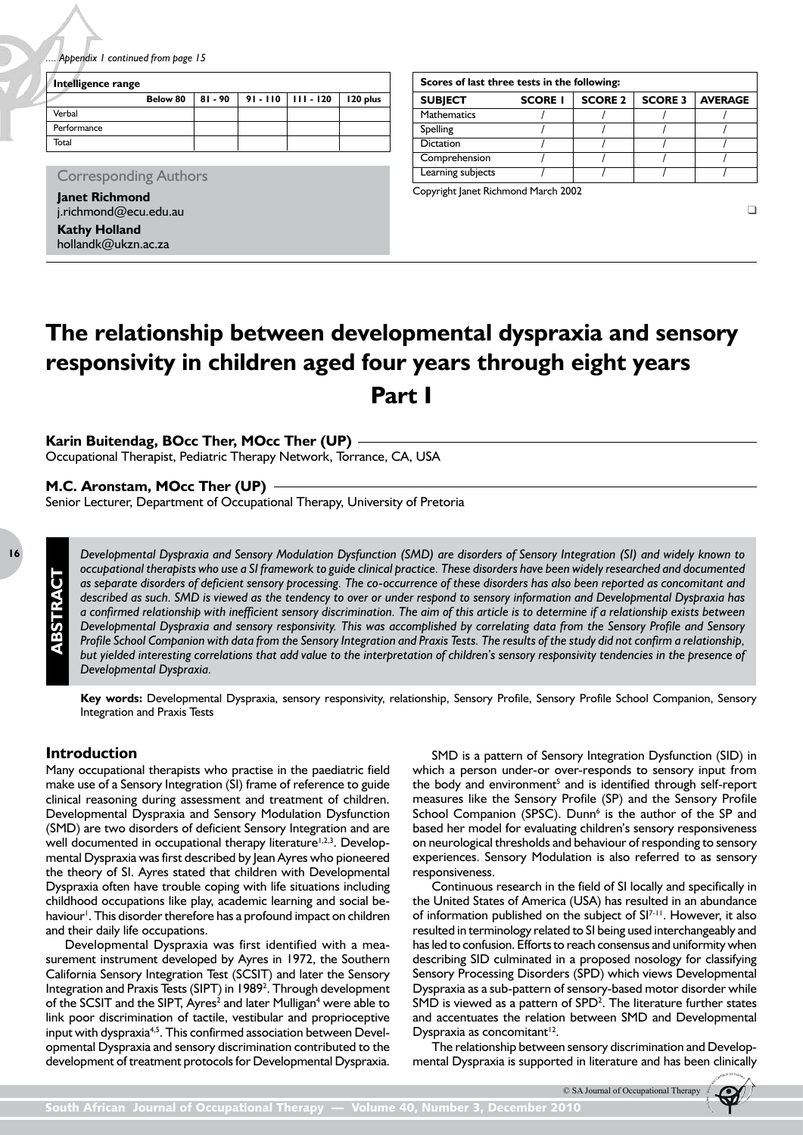# **The relationship between developmental dyspraxia and sensory responsivity in children aged four years through eight years Part I**

# **Karin Buitendag, BOcc Ther, MOcc Ther (UP)**

Occupational Therapist, Pediatric Therapy Network, Torrance, CA, USA

## **M.C. Aronstam, MOcc Ther (UP)**

Senior Lecturer, Department of Occupational Therapy, University of Pretoria

**ABSTRACT**

**ABSTRACT** 

*Developmental Dyspraxia and Sensory Modulation Dysfunction (SMD) are disorders of Sensory Integration (SI) and widely known to occupational therapists who use a SI framework to guide clinical practice. These disorders have been widely researched and documented as separate disorders of deficient sensory processing. The co-occurrence of these disorders has also been reported as concomitant and described as such. SMD is viewed as the tendency to over or under respond to sensory information and Developmental Dyspraxia has a confirmed relationship with inefficient sensory discrimination. The aim of this article is to determine if a relationship exists between Developmental Dyspraxia and sensory responsivity. This was accomplished by correlating data from the Sensory Profile and Sensory Profile School Companion with data from the Sensory Integration and Praxis Tests. The results of the study did not confirm a relationship, but yielded interesting correlations that add value to the interpretation of children's sensory responsivity tendencies in the presence of Developmental Dyspraxia.*

**Key words:** Developmental Dyspraxia, sensory responsivity, relationship, Sensory Profile, Sensory Profile School Companion, Sensory Integration and Praxis Tests

# **Introduction**

Many occupational therapists who practise in the paediatric field make use of a Sensory Integration (SI) frame of reference to guide clinical reasoning during assessment and treatment of children. Developmental Dyspraxia and Sensory Modulation Dysfunction (SMD) are two disorders of deficient Sensory Integration and are well documented in occupational therapy literature<sup>1,2,3</sup>. Developmental Dyspraxia was first described by Jean Ayres who pioneered the theory of SI. Ayres stated that children with Developmental Dyspraxia often have trouble coping with life situations including childhood occupations like play, academic learning and social behaviour<sup>1</sup>. This disorder therefore has a profound impact on children and their daily life occupations.

Developmental Dyspraxia was first identified with a measurement instrument developed by Ayres in 1972, the Southern California Sensory Integration Test (SCSIT) and later the Sensory Integration and Praxis Tests (SIPT) in 1989<sup>2</sup>. Through development of the SCSIT and the SIPT, Ayres<sup>2</sup> and later Mulligan<sup>4</sup> were able to link poor discrimination of tactile, vestibular and proprioceptive input with dyspraxia<sup>4,5</sup>. This confirmed association between Developmental Dyspraxia and sensory discrimination contributed to the development of treatment protocols for Developmental Dyspraxia.

SMD is a pattern of Sensory Integration Dysfunction (SID) in which a person under-or over-responds to sensory input from the body and environment<sup>5</sup> and is identified through self-report measures like the Sensory Profile (SP) and the Sensory Profile School Companion (SPSC). Dunn<sup>6</sup> is the author of the SP and based her model for evaluating children's sensory responsiveness on neurological thresholds and behaviour of responding to sensory experiences. Sensory Modulation is also referred to as sensory responsiveness.

Continuous research in the field of SI locally and specifically in the United States of America (USA) has resulted in an abundance of information published on the subject of SI<sup>7-11</sup>. However, it also resulted in terminology related to SI being used interchangeably and has led to confusion. Efforts to reach consensus and uniformity when describing SID culminated in a proposed nosology for classifying Sensory Processing Disorders (SPD) which views Developmental Dyspraxia as a sub-pattern of sensory-based motor disorder while SMD is viewed as a pattern of SPD<sup>2</sup>. The literature further states and accentuates the relation between SMD and Developmental Dyspraxia as concomitant<sup>12</sup>.

The relationship between sensory discrimination and Developmental Dyspraxia is supported in literature and has been clinically

<sup>©</sup> SA Journal of Occupational Therapy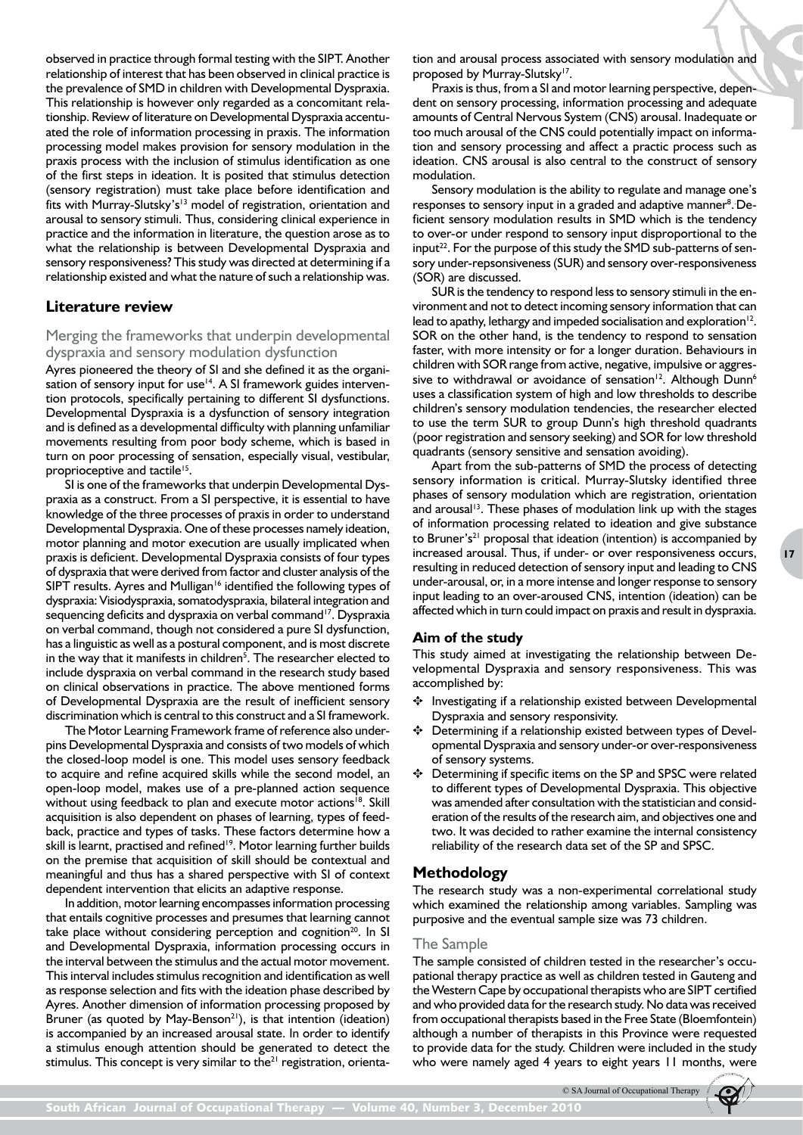observed in practice through formal testing with the SIPT. Another relationship of interest that has been observed in clinical practice is the prevalence of SMD in children with Developmental Dyspraxia. This relationship is however only regarded as a concomitant relationship. Review of literature on Developmental Dyspraxia accentuated the role of information processing in praxis. The information processing model makes provision for sensory modulation in the praxis process with the inclusion of stimulus identification as one of the first steps in ideation. It is posited that stimulus detection (sensory registration) must take place before identification and fits with Murray-Slutsky's<sup>13</sup> model of registration, orientation and arousal to sensory stimuli. Thus, considering clinical experience in practice and the information in literature, the question arose as to what the relationship is between Developmental Dyspraxia and sensory responsiveness? This study was directed at determining if a relationship existed and what the nature of such a relationship was.

# **Literature review**

# Merging the frameworks that underpin developmental dyspraxia and sensory modulation dysfunction

Ayres pioneered the theory of SI and she defined it as the organisation of sensory input for use<sup>14</sup>. A SI framework guides intervention protocols, specifically pertaining to different SI dysfunctions. Developmental Dyspraxia is a dysfunction of sensory integration and is defined as a developmental difficulty with planning unfamiliar movements resulting from poor body scheme, which is based in turn on poor processing of sensation, especially visual, vestibular, proprioceptive and tactile<sup>15</sup>.

SI is one of the frameworks that underpin Developmental Dyspraxia as a construct. From a SI perspective, it is essential to have knowledge of the three processes of praxis in order to understand Developmental Dyspraxia. One of these processes namely ideation, motor planning and motor execution are usually implicated when praxis is deficient. Developmental Dyspraxia consists of four types of dyspraxia that were derived from factor and cluster analysis of the SIPT results. Ayres and Mulligan<sup>16</sup> identified the following types of dyspraxia: Visiodyspraxia, somatodyspraxia, bilateral integration and sequencing deficits and dyspraxia on verbal command<sup>17</sup>. Dyspraxia on verbal command, though not considered a pure SI dysfunction, has a linguistic as well as a postural component, and is most discrete in the way that it manifests in children<sup>5</sup>. The researcher elected to include dyspraxia on verbal command in the research study based on clinical observations in practice. The above mentioned forms of Developmental Dyspraxia are the result of inefficient sensory discrimination which is central to this construct and a SI framework.

The Motor Learning Framework frame of reference also underpins Developmental Dyspraxia and consists of two models of which the closed-loop model is one. This model uses sensory feedback to acquire and refine acquired skills while the second model, an open-loop model, makes use of a pre-planned action sequence without using feedback to plan and execute motor actions<sup>18</sup>. Skill acquisition is also dependent on phases of learning, types of feedback, practice and types of tasks. These factors determine how a skill is learnt, practised and refined<sup>19</sup>. Motor learning further builds on the premise that acquisition of skill should be contextual and meaningful and thus has a shared perspective with SI of context dependent intervention that elicits an adaptive response.

In addition, motor learning encompasses information processing that entails cognitive processes and presumes that learning cannot take place without considering perception and cognition<sup>20</sup>. In SI and Developmental Dyspraxia, information processing occurs in the interval between the stimulus and the actual motor movement. This interval includes stimulus recognition and identification as well as response selection and fits with the ideation phase described by Ayres. Another dimension of information processing proposed by Bruner (as quoted by May-Benson<sup>21</sup>), is that intention (ideation) is accompanied by an increased arousal state. In order to identify a stimulus enough attention should be generated to detect the stimulus. This concept is very similar to the $21$  registration, orientation and arousal process associated with sensory modulation and proposed by Murray-Slutsky<sup>17</sup>.

Praxis is thus, from a SI and motor learning perspective, dependent on sensory processing, information processing and adequate amounts of Central Nervous System (CNS) arousal. Inadequate or too much arousal of the CNS could potentially impact on information and sensory processing and affect a practic process such as ideation. CNS arousal is also central to the construct of sensory modulation.

Sensory modulation is the ability to regulate and manage one's responses to sensory input in a graded and adaptive manner<sup>8</sup>. Deficient sensory modulation results in SMD which is the tendency to over-or under respond to sensory input disproportional to the input<sup>22</sup>. For the purpose of this study the SMD sub-patterns of sensory under-repsonsiveness (SUR) and sensory over-responsiveness (SOR) are discussed.

SUR is the tendency to respond less to sensory stimuli in the environment and not to detect incoming sensory information that can lead to apathy, lethargy and impeded socialisation and exploration $12$ . SOR on the other hand, is the tendency to respond to sensation faster, with more intensity or for a longer duration. Behaviours in children with SOR range from active, negative, impulsive or aggressive to withdrawal or avoidance of sensation<sup>12</sup>. Although Dunn<sup>6</sup> uses a classification system of high and low thresholds to describe children's sensory modulation tendencies, the researcher elected to use the term SUR to group Dunn's high threshold quadrants (poor registration and sensory seeking) and SOR for low threshold quadrants (sensory sensitive and sensation avoiding).

Apart from the sub-patterns of SMD the process of detecting sensory information is critical. Murray-Slutsky identified three phases of sensory modulation which are registration, orientation and arousal<sup>13</sup>. These phases of modulation link up with the stages of information processing related to ideation and give substance to Bruner's<sup>21</sup> proposal that ideation (intention) is accompanied by increased arousal. Thus, if under- or over responsiveness occurs, resulting in reduced detection of sensory input and leading to CNS under-arousal, or, in a more intense and longer response to sensory input leading to an over-aroused CNS, intention (ideation) can be affected which in turn could impact on praxis and result in dyspraxia.

**17**

## **Aim of the study**

This study aimed at investigating the relationship between Developmental Dyspraxia and sensory responsiveness. This was accomplished by:

- ✥ Investigating if a relationship existed between Developmental Dyspraxia and sensory responsivity.
- ✥ Determining if a relationship existed between types of Developmental Dyspraxia and sensory under-or over-responsiveness of sensory systems.
- ✥ Determining if specific items on the SP and SPSC were related to different types of Developmental Dyspraxia. This objective was amended after consultation with the statistician and consideration of the results of the research aim, and objectives one and two. It was decided to rather examine the internal consistency reliability of the research data set of the SP and SPSC.

## **Methodology**

The research study was a non-experimental correlational study which examined the relationship among variables. Sampling was purposive and the eventual sample size was 73 children.

#### The Sample

The sample consisted of children tested in the researcher's occupational therapy practice as well as children tested in Gauteng and the Western Cape by occupational therapists who are SIPT certified and who provided data for the research study. No data was received from occupational therapists based in the Free State (Bloemfontein) although a number of therapists in this Province were requested to provide data for the study. Children were included in the study who were namely aged 4 years to eight years 11 months, were

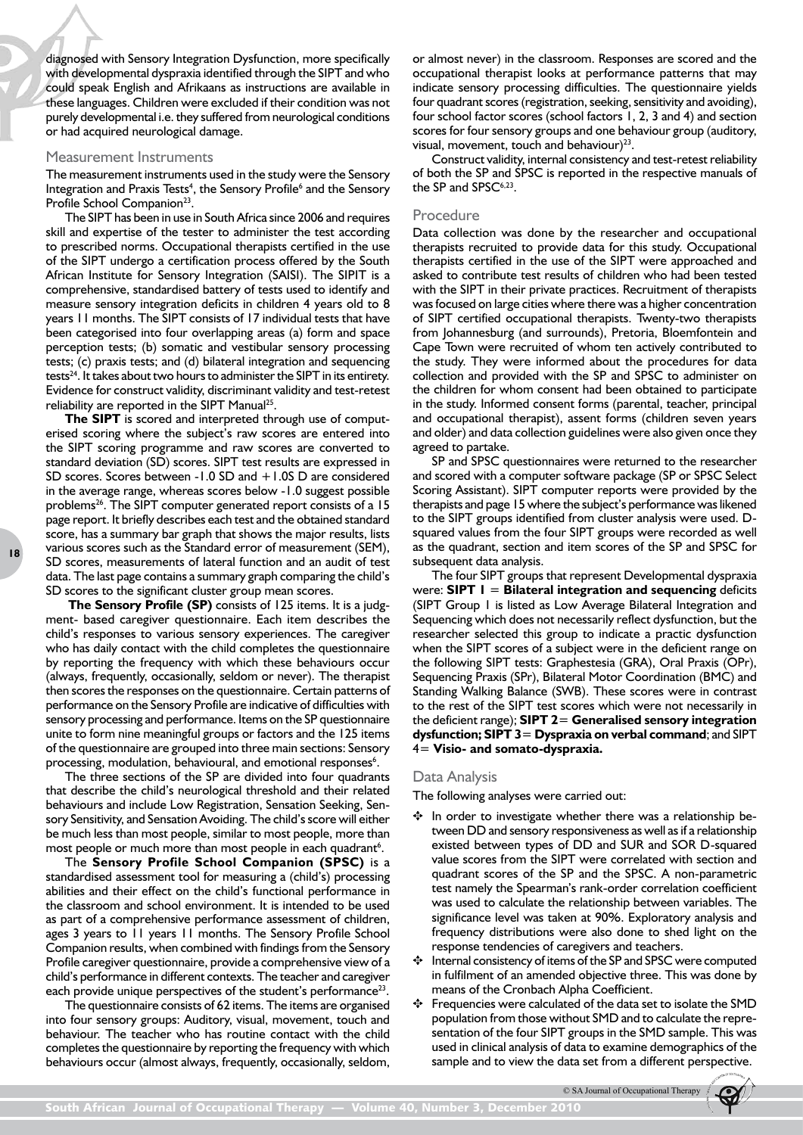diagnosed with Sensory Integration Dysfunction, more specifically with developmental dyspraxia identified through the SIPT and who could speak English and Afrikaans as instructions are available in these languages. Children were excluded if their condition was not purely developmental i.e. they suffered from neurological conditions or had acquired neurological damage.

#### Measurement Instruments

The measurement instruments used in the study were the Sensory Integration and Praxis Tests<sup>4</sup>, the Sensory Profile<sup>6</sup> and the Sensory Profile School Companion<sup>23</sup>.

The SIPT has been in use in South Africa since 2006 and requires skill and expertise of the tester to administer the test according to prescribed norms. Occupational therapists certified in the use of the SIPT undergo a certification process offered by the South African Institute for Sensory Integration (SAISI). The SIPIT is a comprehensive, standardised battery of tests used to identify and measure sensory integration deficits in children 4 years old to 8 years 11 months. The SIPT consists of 17 individual tests that have been categorised into four overlapping areas (a) form and space perception tests; (b) somatic and vestibular sensory processing tests; (c) praxis tests; and (d) bilateral integration and sequencing tests<sup>24</sup>. It takes about two hours to administer the SIPT in its entirety. Evidence for construct validity, discriminant validity and test-retest reliability are reported in the SIPT Manual<sup>25</sup>.

**The SIPT** is scored and interpreted through use of computerised scoring where the subject's raw scores are entered into the SIPT scoring programme and raw scores are converted to standard deviation (SD) scores. SIPT test results are expressed in SD scores. Scores between -1.0 SD and +1.0S D are considered in the average range, whereas scores below -1.0 suggest possible problems<sup>26</sup>. The SIPT computer generated report consists of a 15 page report. It briefly describes each test and the obtained standard score, has a summary bar graph that shows the major results, lists various scores such as the Standard error of measurement (SEM), SD scores, measurements of lateral function and an audit of test data. The last page contains a summary graph comparing the child's SD scores to the significant cluster group mean scores.

**The Sensory Profile (SP)** consists of 125 items. It is a judgment- based caregiver questionnaire. Each item describes the child's responses to various sensory experiences. The caregiver who has daily contact with the child completes the questionnaire by reporting the frequency with which these behaviours occur (always, frequently, occasionally, seldom or never). The therapist then scores the responses on the questionnaire. Certain patterns of performance on the Sensory Profile are indicative of difficulties with sensory processing and performance. Items on the SP questionnaire unite to form nine meaningful groups or factors and the 125 items of the questionnaire are grouped into three main sections: Sensory processing, modulation, behavioural, and emotional responses<sup>6</sup>.

The three sections of the SP are divided into four quadrants that describe the child's neurological threshold and their related behaviours and include Low Registration, Sensation Seeking, Sensory Sensitivity, and Sensation Avoiding. The child's score will either be much less than most people, similar to most people, more than most people or much more than most people in each quadrant<sup>6</sup>.

The **Sensory Profile School Companion (SPSC)** is a standardised assessment tool for measuring a (child's) processing abilities and their effect on the child's functional performance in the classroom and school environment. It is intended to be used as part of a comprehensive performance assessment of children, ages 3 years to 11 years 11 months. The Sensory Profile School Companion results, when combined with findings from the Sensory Profile caregiver questionnaire, provide a comprehensive view of a child's performance in different contexts. The teacher and caregiver each provide unique perspectives of the student's performance<sup>23</sup>.

The questionnaire consists of 62 items. The items are organised into four sensory groups: Auditory, visual, movement, touch and behaviour. The teacher who has routine contact with the child completes the questionnaire by reporting the frequency with which behaviours occur (almost always, frequently, occasionally, seldom,

or almost never) in the classroom. Responses are scored and the occupational therapist looks at performance patterns that may indicate sensory processing difficulties. The questionnaire yields four quadrant scores (registration, seeking, sensitivity and avoiding), four school factor scores (school factors 1, 2, 3 and 4) and section scores for four sensory groups and one behaviour group (auditory, visual, movement, touch and behaviour) $23$ .

Construct validity, internal consistency and test-retest reliability of both the SP and SPSC is reported in the respective manuals of the SP and SPSC<sup>6,23</sup>.

## Procedure

Data collection was done by the researcher and occupational therapists recruited to provide data for this study. Occupational therapists certified in the use of the SIPT were approached and asked to contribute test results of children who had been tested with the SIPT in their private practices. Recruitment of therapists was focused on large cities where there was a higher concentration of SIPT certified occupational therapists. Twenty-two therapists from Johannesburg (and surrounds), Pretoria, Bloemfontein and Cape Town were recruited of whom ten actively contributed to the study. They were informed about the procedures for data collection and provided with the SP and SPSC to administer on the children for whom consent had been obtained to participate in the study. Informed consent forms (parental, teacher, principal and occupational therapist), assent forms (children seven years and older) and data collection guidelines were also given once they agreed to partake.

SP and SPSC questionnaires were returned to the researcher and scored with a computer software package (SP or SPSC Select Scoring Assistant). SIPT computer reports were provided by the therapists and page 15 where the subject's performance was likened to the SIPT groups identified from cluster analysis were used. Dsquared values from the four SIPT groups were recorded as well as the quadrant, section and item scores of the SP and SPSC for subsequent data analysis.

The four SIPT groups that represent Developmental dyspraxia were: **SIPT 1** = **Bilateral integration and sequencing** deficits (SIPT Group 1 is listed as Low Average Bilateral Integration and Sequencing which does not necessarily reflect dysfunction, but the researcher selected this group to indicate a practic dysfunction when the SIPT scores of a subject were in the deficient range on the following SIPT tests: Graphestesia (GRA), Oral Praxis (OPr), Sequencing Praxis (SPr), Bilateral Motor Coordination (BMC) and Standing Walking Balance (SWB). These scores were in contrast to the rest of the SIPT test scores which were not necessarily in the deficient range); **SIPT 2**= **Generalised sensory integration dysfunction; SIPT 3**= **Dyspraxia on verbal command**; and SIPT 4= **Visio- and somato-dyspraxia.** 

### Data Analysis

The following analyses were carried out:

- ✥ In order to investigate whether there was a relationship between DD and sensory responsiveness as well as if a relationship existed between types of DD and SUR and SOR D-squared value scores from the SIPT were correlated with section and quadrant scores of the SP and the SPSC. A non-parametric test namely the Spearman's rank-order correlation coefficient was used to calculate the relationship between variables. The significance level was taken at 90%. Exploratory analysis and frequency distributions were also done to shed light on the response tendencies of caregivers and teachers.
- Internal consistency of items of the SP and SPSC were computed in fulfilment of an amended objective three. This was done by means of the Cronbach Alpha Coefficient.
- ✥ Frequencies were calculated of the data set to isolate the SMD population from those without SMD and to calculate the representation of the four SIPT groups in the SMD sample. This was used in clinical analysis of data to examine demographics of the sample and to view the data set from a different perspective.

© SA Journal of Occupational Therapy

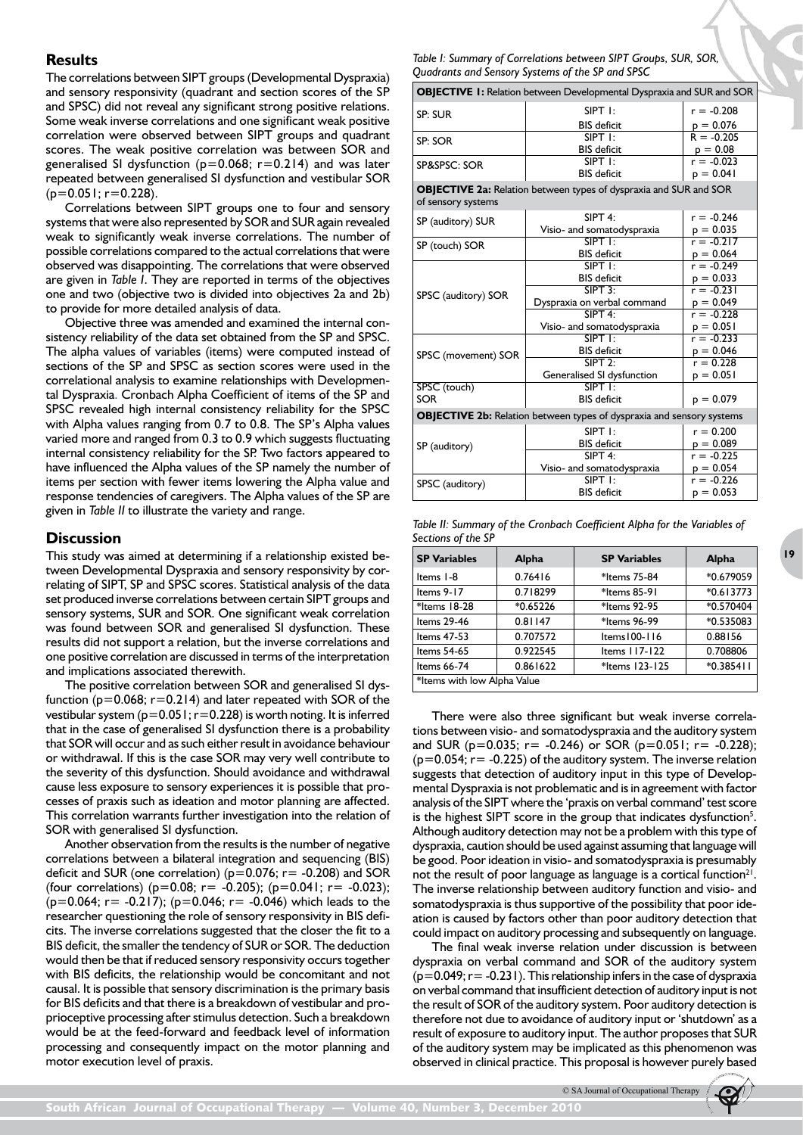# **Results**

The correlations between SIPT groups (Developmental Dyspraxia) and sensory responsivity (quadrant and section scores of the SP and SPSC) did not reveal any significant strong positive relations. Some weak inverse correlations and one significant weak positive correlation were observed between SIPT groups and quadrant scores. The weak positive correlation was between SOR and generalised SI dysfunction ( $p=0.068$ ;  $r=0.214$ ) and was later repeated between generalised SI dysfunction and vestibular SOR  $(p=0.051; r=0.228).$ 

Correlations between SIPT groups one to four and sensory systems that were also represented by SOR and SUR again revealed weak to significantly weak inverse correlations. The number of possible correlations compared to the actual correlations that were observed was disappointing. The correlations that were observed are given in *Table I*. They are reported in terms of the objectives one and two (objective two is divided into objectives 2a and 2b) to provide for more detailed analysis of data.

Objective three was amended and examined the internal consistency reliability of the data set obtained from the SP and SPSC. The alpha values of variables (items) were computed instead of sections of the SP and SPSC as section scores were used in the correlational analysis to examine relationships with Developmental Dyspraxia. Cronbach Alpha Coefficient of items of the SP and SPSC revealed high internal consistency reliability for the SPSC with Alpha values ranging from 0.7 to 0.8. The SP's Alpha values varied more and ranged from 0.3 to 0.9 which suggests fluctuating internal consistency reliability for the SP. Two factors appeared to have influenced the Alpha values of the SP namely the number of items per section with fewer items lowering the Alpha value and response tendencies of caregivers. The Alpha values of the SP are given in *Table II* to illustrate the variety and range.

# **Discussion**

This study was aimed at determining if a relationship existed between Developmental Dyspraxia and sensory responsivity by correlating of SIPT, SP and SPSC scores. Statistical analysis of the data set produced inverse correlations between certain SIPT groups and sensory systems, SUR and SOR. One significant weak correlation was found between SOR and generalised SI dysfunction. These results did not support a relation, but the inverse correlations and one positive correlation are discussed in terms of the interpretation and implications associated therewith.

The positive correlation between SOR and generalised SI dysfunction ( $p=0.068$ ;  $r=0.214$ ) and later repeated with SOR of the vestibular system  $(p=0.051; r=0.228)$  is worth noting. It is inferred that in the case of generalised SI dysfunction there is a probability that SOR will occur and as such either result in avoidance behaviour or withdrawal. If this is the case SOR may very well contribute to the severity of this dysfunction. Should avoidance and withdrawal cause less exposure to sensory experiences it is possible that processes of praxis such as ideation and motor planning are affected. This correlation warrants further investigation into the relation of SOR with generalised SI dysfunction.

Another observation from the results is the number of negative correlations between a bilateral integration and sequencing (BIS) deficit and SUR (one correlation) ( $p=0.076$ ;  $r=-0.208$ ) and SOR (four correlations) ( $p=0.08$ ;  $r=-0.205$ ); ( $p=0.041$ ;  $r=-0.023$ );  $(p=0.064; r=-0.217)$ ; (p=0.046; r= -0.046) which leads to the researcher questioning the role of sensory responsivity in BIS deficits. The inverse correlations suggested that the closer the fit to a BIS deficit, the smaller the tendency of SUR or SOR. The deduction would then be that if reduced sensory responsivity occurs together with BIS deficits, the relationship would be concomitant and not causal. It is possible that sensory discrimination is the primary basis for BIS deficits and that there is a breakdown of vestibular and proprioceptive processing after stimulus detection. Such a breakdown would be at the feed-forward and feedback level of information processing and consequently impact on the motor planning and motor execution level of praxis.

*Table I: Summary of Correlations between SIPT Groups, SUR, SOR, Quadrants and Sensory Systems of the SP and SPSC*

| <b>OBJECTIVE 1:</b> Relation between Developmental Dyspraxia and SUR and SOR |  |  |
|------------------------------------------------------------------------------|--|--|
|                                                                              |  |  |

| <b>OBJECTIVE 1:</b> Relation between Developmental Dyspraxia and SOR and SOR                   |                                                                              |              |  |  |  |
|------------------------------------------------------------------------------------------------|------------------------------------------------------------------------------|--------------|--|--|--|
| SP: SUR                                                                                        | $S$ IPT $\mathsf{I}$ :                                                       | $r = -0.208$ |  |  |  |
|                                                                                                | <b>BIS</b> deficit                                                           | $p = 0.076$  |  |  |  |
| SP: SOR                                                                                        | $S$ IPT $\mathsf{I}$ :                                                       | $R = -0.205$ |  |  |  |
|                                                                                                | <b>BIS</b> deficit                                                           | $p = 0.08$   |  |  |  |
| SP&SPSC: SOR                                                                                   | $S$ IPT $\exists$ :                                                          | $r = -0.023$ |  |  |  |
|                                                                                                | <b>BIS</b> deficit                                                           | $p = 0.041$  |  |  |  |
| <b>OBJECTIVE 2a:</b> Relation between types of dyspraxia and SUR and SOR<br>of sensory systems |                                                                              |              |  |  |  |
| SP (auditory) SUR                                                                              | $SIPT4$ :                                                                    | $r = -0.246$ |  |  |  |
|                                                                                                | Visio- and somatodyspraxia                                                   | $p = 0.035$  |  |  |  |
| SP (touch) SOR                                                                                 | $S$ <b>PT</b> $\mathbf{F}$                                                   | $r = -0.217$ |  |  |  |
|                                                                                                | <b>BIS</b> deficit                                                           | $p = 0.064$  |  |  |  |
|                                                                                                | $S$ IPT $\exists$ :                                                          | $r = -0.249$ |  |  |  |
|                                                                                                | <b>BIS</b> deficit                                                           | $p = 0.033$  |  |  |  |
| SPSC (auditory) SOR                                                                            | $S$ IPT $3$                                                                  | $r = -0.231$ |  |  |  |
|                                                                                                | Dyspraxia on verbal command                                                  | $p = 0.049$  |  |  |  |
|                                                                                                | $SIPT$ 4:                                                                    | $r = -0.228$ |  |  |  |
|                                                                                                | Visio- and somatodyspraxia                                                   | $p = 0.051$  |  |  |  |
|                                                                                                | $S$ <b>PT</b> 1:                                                             | $r = -0.233$ |  |  |  |
| SPSC (movement) SOR                                                                            | <b>BIS</b> deficit                                                           | $p = 0.046$  |  |  |  |
|                                                                                                | $SIPT$ 2:                                                                    | $r = 0.228$  |  |  |  |
|                                                                                                | Generalised SI dysfunction                                                   | $p = 0.051$  |  |  |  |
| SPSC (touch)                                                                                   | $S$ <b>IPT</b> $\mathbf{I}$ :                                                |              |  |  |  |
| <b>SOR</b>                                                                                     | <b>BIS</b> deficit                                                           | $p = 0.079$  |  |  |  |
|                                                                                                | <b>OBJECTIVE 2b:</b> Relation between types of dyspraxia and sensory systems |              |  |  |  |
|                                                                                                | $S$ IPT $\exists$ :                                                          | $r = 0.200$  |  |  |  |
| SP (auditory)                                                                                  | <b>BIS</b> deficit                                                           | $p = 0.089$  |  |  |  |
|                                                                                                | $SIPT4$ :                                                                    | $r = -0.225$ |  |  |  |
|                                                                                                | Visio- and somatodyspraxia                                                   | $p = 0.054$  |  |  |  |
| SPSC (auditory)                                                                                | $S$ IPT $\exists$ :                                                          | $r = -0.226$ |  |  |  |
|                                                                                                | <b>BIS</b> deficit                                                           | $p = 0.053$  |  |  |  |

**<sup>19</sup>**

| Table II: Summary of the Cronbach Coefficient Alpha for the Variables of |  |  |  |
|--------------------------------------------------------------------------|--|--|--|
| Sections of the SP                                                       |  |  |  |

| <b>SP Variables</b>         | Alpha      | <b>SP Variables</b> | <b>Alpha</b> |  |  |
|-----------------------------|------------|---------------------|--------------|--|--|
| Items I-8                   | 0.76416    | *Items 75-84        | *0.679059    |  |  |
| Items $9-17$                | 0.718299   | *Items 85-91        | $*0.613773$  |  |  |
| *Items 18-28                | $*0.65226$ | *Items 92-95        | *0.570404    |  |  |
| Items 29-46                 | 0.81147    | *Items 96-99        | *0.535083    |  |  |
| Items 47-53                 | 0.707572   | Items   00-116      | 0.88156      |  |  |
| Items 54-65                 | 0.922545   | Items 117-122       | 0.708806     |  |  |
| Items 66-74                 | 0.861622   | *Items 123-125      | $*0.385411$  |  |  |
| *Items with low Alpha Value |            |                     |              |  |  |

There were also three significant but weak inverse correlations between visio- and somatodyspraxia and the auditory system and SUR ( $p=0.035$ ; r = -0.246) or SOR ( $p=0.051$ ; r = -0.228);  $(p=0.054; r=-0.225)$  of the auditory system. The inverse relation suggests that detection of auditory input in this type of Developmental Dyspraxia is not problematic and is in agreement with factor analysis of the SIPT where the 'praxis on verbal command' test score is the highest SIPT score in the group that indicates dysfunction<sup>5</sup>. Although auditory detection may not be a problem with this type of dyspraxia, caution should be used against assuming that language will be good. Poor ideation in visio- and somatodyspraxia is presumably not the result of poor language as language is a cortical function<sup>21</sup>. The inverse relationship between auditory function and visio- and somatodyspraxia is thus supportive of the possibility that poor ideation is caused by factors other than poor auditory detection that could impact on auditory processing and subsequently on language.

The final weak inverse relation under discussion is between dyspraxia on verbal command and SOR of the auditory system  $(p=0.049; r=-0.231)$ . This relationship infers in the case of dyspraxia on verbal command that insufficient detection of auditory input is not the result of SOR of the auditory system. Poor auditory detection is therefore not due to avoidance of auditory input or 'shutdown' as a result of exposure to auditory input. The author proposes that SUR of the auditory system may be implicated as this phenomenon was observed in clinical practice. This proposal is however purely based

© SA Journal of Occupational Therapy